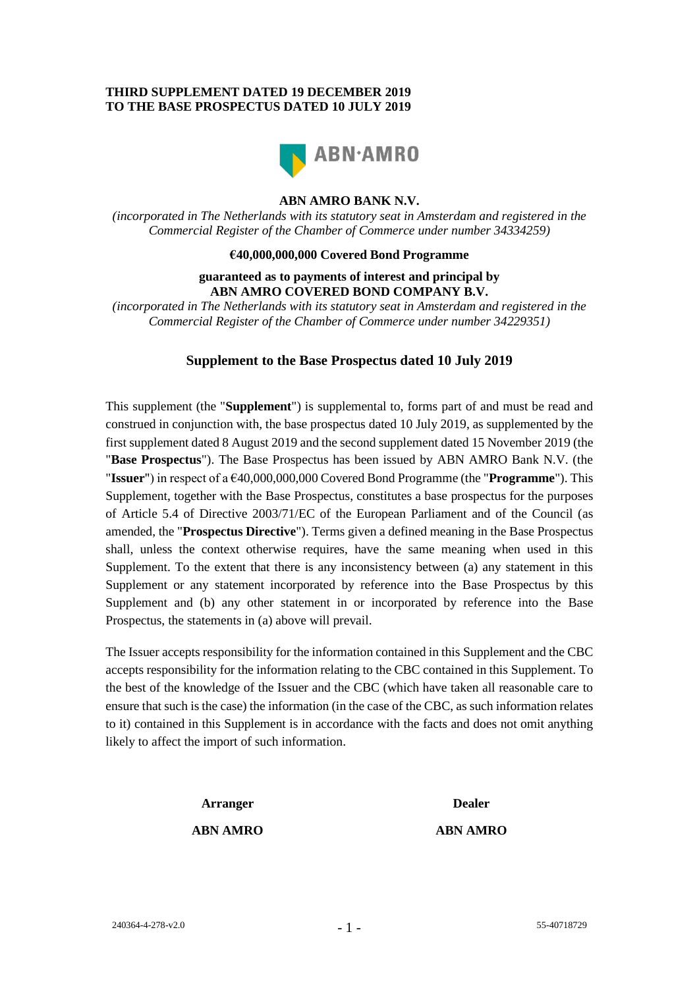### **THIRD SUPPLEMENT DATED 19 DECEMBER 2019 TO THE BASE PROSPECTUS DATED 10 JULY 2019**



# **ABN AMRO BANK N.V.**

*(incorporated in The Netherlands with its statutory seat in Amsterdam and registered in the Commercial Register of the Chamber of Commerce under number 34334259)*

### **€40,000,000,000 Covered Bond Programme**

#### **guaranteed as to payments of interest and principal by ABN AMRO COVERED BOND COMPANY B.V.**

*(incorporated in The Netherlands with its statutory seat in Amsterdam and registered in the Commercial Register of the Chamber of Commerce under number 34229351)*

# **Supplement to the Base Prospectus dated 10 July 2019**

This supplement (the "**Supplement**") is supplemental to, forms part of and must be read and construed in conjunction with, the base prospectus dated 10 July 2019, as supplemented by the first supplement dated 8 August 2019 and the second supplement dated 15 November 2019 (the "**Base Prospectus**"). The Base Prospectus has been issued by ABN AMRO Bank N.V. (the "**Issuer**") in respect of a €40,000,000,000 Covered Bond Programme (the "**Programme**"). This Supplement, together with the Base Prospectus, constitutes a base prospectus for the purposes of Article 5.4 of Directive 2003/71/EC of the European Parliament and of the Council (as amended, the "**Prospectus Directive**"). Terms given a defined meaning in the Base Prospectus shall, unless the context otherwise requires, have the same meaning when used in this Supplement. To the extent that there is any inconsistency between (a) any statement in this Supplement or any statement incorporated by reference into the Base Prospectus by this Supplement and (b) any other statement in or incorporated by reference into the Base Prospectus, the statements in (a) above will prevail.

The Issuer accepts responsibility for the information contained in this Supplement and the CBC accepts responsibility for the information relating to the CBC contained in this Supplement. To the best of the knowledge of the Issuer and the CBC (which have taken all reasonable care to ensure that such is the case) the information (in the case of the CBC, as such information relates to it) contained in this Supplement is in accordance with the facts and does not omit anything likely to affect the import of such information.

# **Arranger Dealer**

**ABN AMRO ABN AMRO**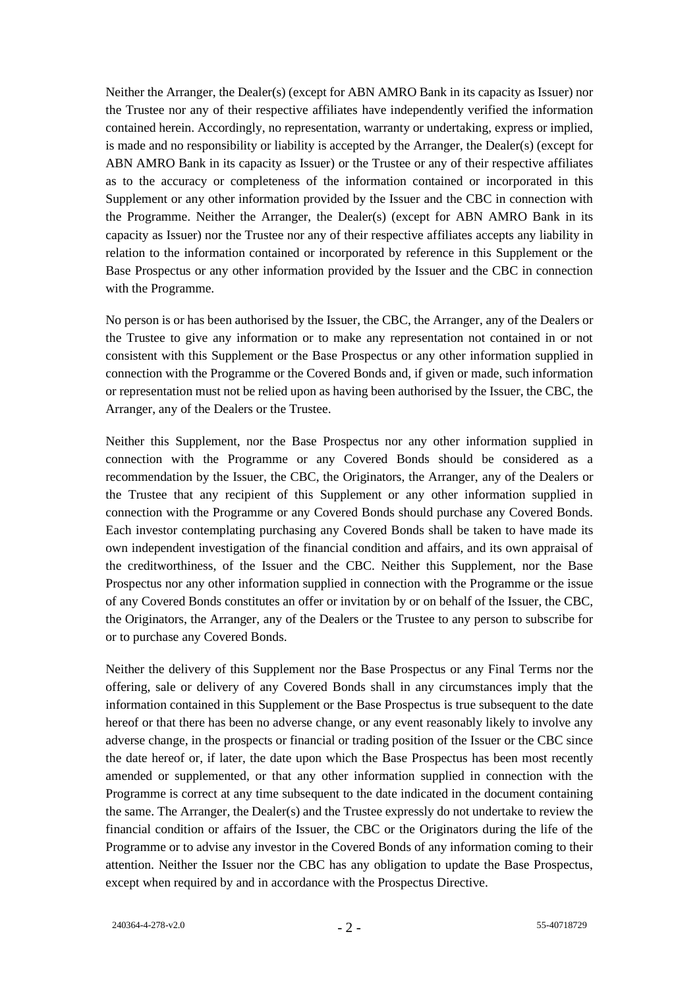Neither the Arranger, the Dealer(s) (except for ABN AMRO Bank in its capacity as Issuer) nor the Trustee nor any of their respective affiliates have independently verified the information contained herein. Accordingly, no representation, warranty or undertaking, express or implied, is made and no responsibility or liability is accepted by the Arranger, the Dealer(s) (except for ABN AMRO Bank in its capacity as Issuer) or the Trustee or any of their respective affiliates as to the accuracy or completeness of the information contained or incorporated in this Supplement or any other information provided by the Issuer and the CBC in connection with the Programme. Neither the Arranger, the Dealer(s) (except for ABN AMRO Bank in its capacity as Issuer) nor the Trustee nor any of their respective affiliates accepts any liability in relation to the information contained or incorporated by reference in this Supplement or the Base Prospectus or any other information provided by the Issuer and the CBC in connection with the Programme.

No person is or has been authorised by the Issuer, the CBC, the Arranger, any of the Dealers or the Trustee to give any information or to make any representation not contained in or not consistent with this Supplement or the Base Prospectus or any other information supplied in connection with the Programme or the Covered Bonds and, if given or made, such information or representation must not be relied upon as having been authorised by the Issuer, the CBC, the Arranger, any of the Dealers or the Trustee.

Neither this Supplement, nor the Base Prospectus nor any other information supplied in connection with the Programme or any Covered Bonds should be considered as a recommendation by the Issuer, the CBC, the Originators, the Arranger, any of the Dealers or the Trustee that any recipient of this Supplement or any other information supplied in connection with the Programme or any Covered Bonds should purchase any Covered Bonds. Each investor contemplating purchasing any Covered Bonds shall be taken to have made its own independent investigation of the financial condition and affairs, and its own appraisal of the creditworthiness, of the Issuer and the CBC. Neither this Supplement, nor the Base Prospectus nor any other information supplied in connection with the Programme or the issue of any Covered Bonds constitutes an offer or invitation by or on behalf of the Issuer, the CBC, the Originators, the Arranger, any of the Dealers or the Trustee to any person to subscribe for or to purchase any Covered Bonds.

Neither the delivery of this Supplement nor the Base Prospectus or any Final Terms nor the offering, sale or delivery of any Covered Bonds shall in any circumstances imply that the information contained in this Supplement or the Base Prospectus is true subsequent to the date hereof or that there has been no adverse change, or any event reasonably likely to involve any adverse change, in the prospects or financial or trading position of the Issuer or the CBC since the date hereof or, if later, the date upon which the Base Prospectus has been most recently amended or supplemented, or that any other information supplied in connection with the Programme is correct at any time subsequent to the date indicated in the document containing the same. The Arranger, the Dealer(s) and the Trustee expressly do not undertake to review the financial condition or affairs of the Issuer, the CBC or the Originators during the life of the Programme or to advise any investor in the Covered Bonds of any information coming to their attention. Neither the Issuer nor the CBC has any obligation to update the Base Prospectus, except when required by and in accordance with the Prospectus Directive.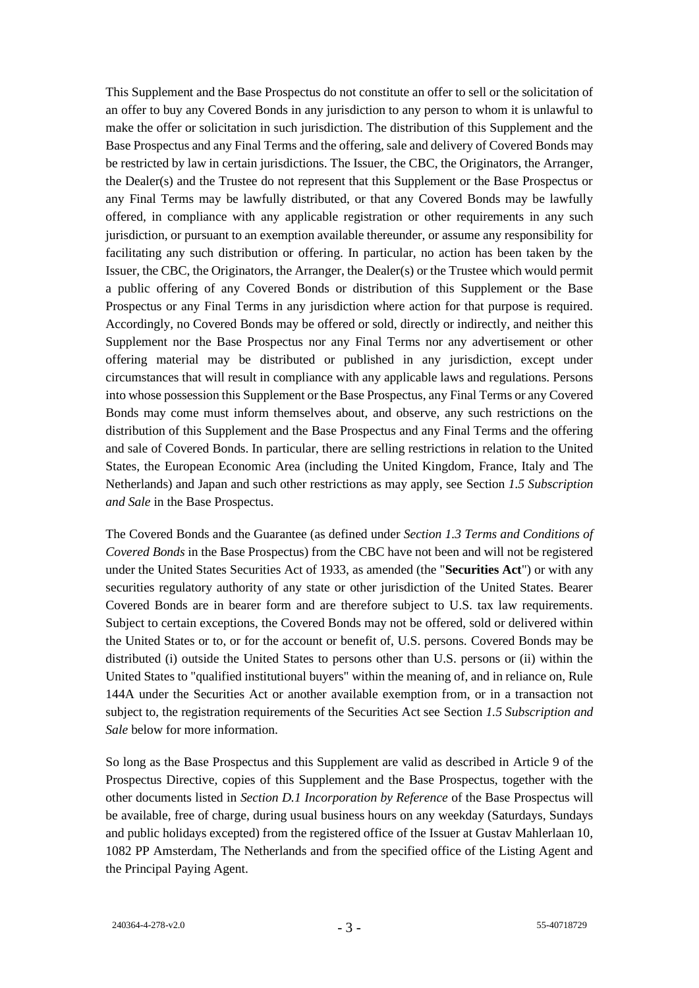This Supplement and the Base Prospectus do not constitute an offer to sell or the solicitation of an offer to buy any Covered Bonds in any jurisdiction to any person to whom it is unlawful to make the offer or solicitation in such jurisdiction. The distribution of this Supplement and the Base Prospectus and any Final Terms and the offering, sale and delivery of Covered Bonds may be restricted by law in certain jurisdictions. The Issuer, the CBC, the Originators, the Arranger, the Dealer(s) and the Trustee do not represent that this Supplement or the Base Prospectus or any Final Terms may be lawfully distributed, or that any Covered Bonds may be lawfully offered, in compliance with any applicable registration or other requirements in any such jurisdiction, or pursuant to an exemption available thereunder, or assume any responsibility for facilitating any such distribution or offering. In particular, no action has been taken by the Issuer, the CBC, the Originators, the Arranger, the Dealer(s) or the Trustee which would permit a public offering of any Covered Bonds or distribution of this Supplement or the Base Prospectus or any Final Terms in any jurisdiction where action for that purpose is required. Accordingly, no Covered Bonds may be offered or sold, directly or indirectly, and neither this Supplement nor the Base Prospectus nor any Final Terms nor any advertisement or other offering material may be distributed or published in any jurisdiction, except under circumstances that will result in compliance with any applicable laws and regulations. Persons into whose possession this Supplement or the Base Prospectus, any Final Terms or any Covered Bonds may come must inform themselves about, and observe, any such restrictions on the distribution of this Supplement and the Base Prospectus and any Final Terms and the offering and sale of Covered Bonds. In particular, there are selling restrictions in relation to the United States, the European Economic Area (including the United Kingdom, France, Italy and The Netherlands) and Japan and such other restrictions as may apply, see Section *1.5 Subscription and Sale* in the Base Prospectus.

The Covered Bonds and the Guarantee (as defined under *Section 1.3 Terms and Conditions of Covered Bonds* in the Base Prospectus) from the CBC have not been and will not be registered under the United States Securities Act of 1933, as amended (the "**Securities Act**") or with any securities regulatory authority of any state or other jurisdiction of the United States. Bearer Covered Bonds are in bearer form and are therefore subject to U.S. tax law requirements. Subject to certain exceptions, the Covered Bonds may not be offered, sold or delivered within the United States or to, or for the account or benefit of, U.S. persons. Covered Bonds may be distributed (i) outside the United States to persons other than U.S. persons or (ii) within the United States to "qualified institutional buyers" within the meaning of, and in reliance on, Rule 144A under the Securities Act or another available exemption from, or in a transaction not subject to, the registration requirements of the Securities Act see Section *1.5 Subscription and Sale* below for more information.

So long as the Base Prospectus and this Supplement are valid as described in Article 9 of the Prospectus Directive, copies of this Supplement and the Base Prospectus, together with the other documents listed in *Section D.1 Incorporation by Reference* of the Base Prospectus will be available, free of charge, during usual business hours on any weekday (Saturdays, Sundays and public holidays excepted) from the registered office of the Issuer at Gustav Mahlerlaan 10, 1082 PP Amsterdam, The Netherlands and from the specified office of the Listing Agent and the Principal Paying Agent.